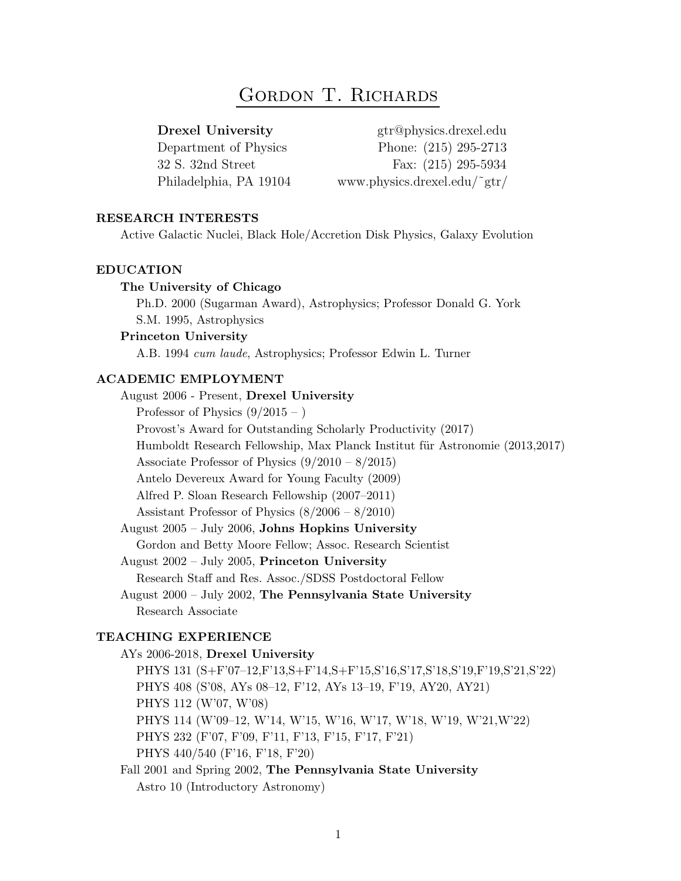# GORDON T. RICHARDS

Drexel University gtr@physics.drexel.edu Department of Physics Phone: (215) 295-2713 32 S. 32nd Street Fax: (215) 295-5934 Philadelphia, PA 19104 www.physics.drexel.edu/˜gtr/

# RESEARCH INTERESTS

Active Galactic Nuclei, Black Hole/Accretion Disk Physics, Galaxy Evolution

#### EDUCATION

# The University of Chicago

Ph.D. 2000 (Sugarman Award), Astrophysics; Professor Donald G. York S.M. 1995, Astrophysics

#### Princeton University

A.B. 1994 cum laude, Astrophysics; Professor Edwin L. Turner

# ACADEMIC EMPLOYMENT

August 2006 - Present, Drexel University Professor of Physics  $(9/2015 - )$ Provost's Award for Outstanding Scholarly Productivity (2017) Humboldt Research Fellowship, Max Planck Institut für Astronomie (2013,2017) Associate Professor of Physics (9/2010 – 8/2015) Antelo Devereux Award for Young Faculty (2009) Alfred P. Sloan Research Fellowship (2007–2011) Assistant Professor of Physics (8/2006 – 8/2010) August 2005 – July 2006, Johns Hopkins University Gordon and Betty Moore Fellow; Assoc. Research Scientist August 2002 – July 2005, Princeton University Research Staff and Res. Assoc./SDSS Postdoctoral Fellow August 2000 – July 2002, The Pennsylvania State University Research Associate TEACHING EXPERIENCE AYs 2006-2018, Drexel University PHYS 131 (S+F'07–12,F'13,S+F'14,S+F'15,S'16,S'17,S'18,S'19,F'19,S'21,S'22) PHYS 408 (S'08, AYs 08–12, F'12, AYs 13–19, F'19, AY20, AY21) PHYS 112 (W'07, W'08)

PHYS 114 (W'09–12, W'14, W'15, W'16, W'17, W'18, W'19, W'21,W'22)

PHYS 232 (F'07, F'09, F'11, F'13, F'15, F'17, F'21)

PHYS 440/540 (F'16, F'18, F'20)

Fall 2001 and Spring 2002, The Pennsylvania State University Astro 10 (Introductory Astronomy)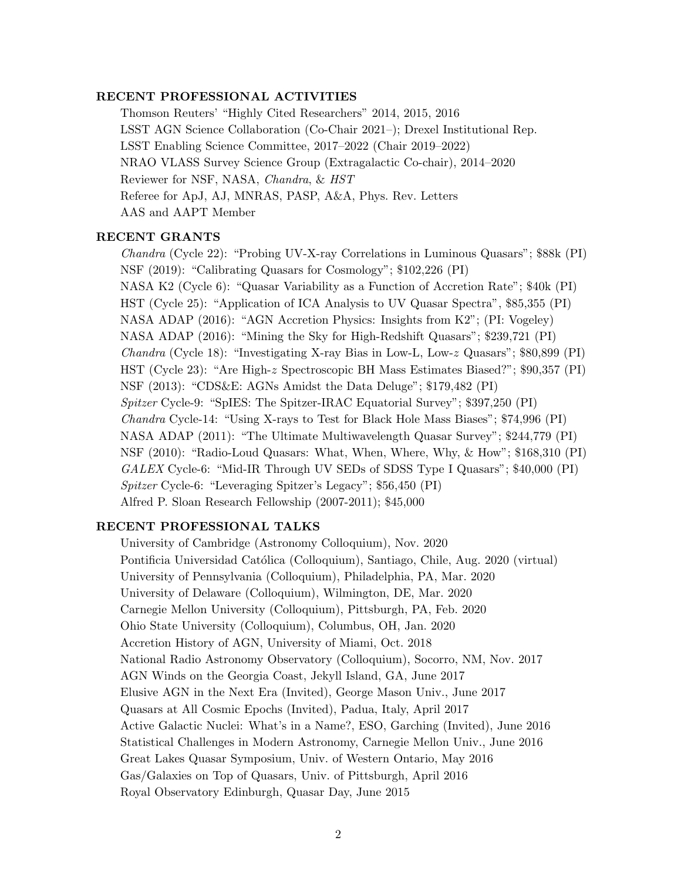#### RECENT PROFESSIONAL ACTIVITIES

Thomson Reuters' "Highly Cited Researchers" 2014, 2015, 2016 LSST AGN Science Collaboration (Co-Chair 2021–); Drexel Institutional Rep. LSST Enabling Science Committee, 2017–2022 (Chair 2019–2022) NRAO VLASS Survey Science Group (Extragalactic Co-chair), 2014–2020 Reviewer for NSF, NASA, Chandra, & HST Referee for ApJ, AJ, MNRAS, PASP, A&A, Phys. Rev. Letters AAS and AAPT Member

# RECENT GRANTS

Chandra (Cycle 22): "Probing UV-X-ray Correlations in Luminous Quasars"; \$88k (PI) NSF (2019): "Calibrating Quasars for Cosmology"; \$102,226 (PI) NASA K2 (Cycle 6): "Quasar Variability as a Function of Accretion Rate"; \$40k (PI) HST (Cycle 25): "Application of ICA Analysis to UV Quasar Spectra", \$85,355 (PI) NASA ADAP (2016): "AGN Accretion Physics: Insights from K2"; (PI: Vogeley) NASA ADAP (2016): "Mining the Sky for High-Redshift Quasars"; \$239,721 (PI) Chandra (Cycle 18): "Investigating X-ray Bias in Low-L, Low-z Quasars"; \$80,899 (PI) HST (Cycle 23): "Are High-z Spectroscopic BH Mass Estimates Biased?"; \$90,357 (PI) NSF (2013): "CDS&E: AGNs Amidst the Data Deluge"; \$179,482 (PI) Spitzer Cycle-9: "SpIES: The Spitzer-IRAC Equatorial Survey"; \$397,250 (PI) Chandra Cycle-14: "Using X-rays to Test for Black Hole Mass Biases"; \$74,996 (PI) NASA ADAP (2011): "The Ultimate Multiwavelength Quasar Survey"; \$244,779 (PI) NSF (2010): "Radio-Loud Quasars: What, When, Where, Why, & How"; \$168,310 (PI) GALEX Cycle-6: "Mid-IR Through UV SEDs of SDSS Type I Quasars"; \$40,000 (PI) Spitzer Cycle-6: "Leveraging Spitzer's Legacy"; \$56,450 (PI) Alfred P. Sloan Research Fellowship (2007-2011); \$45,000

# RECENT PROFESSIONAL TALKS

University of Cambridge (Astronomy Colloquium), Nov. 2020 Pontificia Universidad Católica (Colloquium), Santiago, Chile, Aug. 2020 (virtual) University of Pennsylvania (Colloquium), Philadelphia, PA, Mar. 2020 University of Delaware (Colloquium), Wilmington, DE, Mar. 2020 Carnegie Mellon University (Colloquium), Pittsburgh, PA, Feb. 2020 Ohio State University (Colloquium), Columbus, OH, Jan. 2020 Accretion History of AGN, University of Miami, Oct. 2018 National Radio Astronomy Observatory (Colloquium), Socorro, NM, Nov. 2017 AGN Winds on the Georgia Coast, Jekyll Island, GA, June 2017 Elusive AGN in the Next Era (Invited), George Mason Univ., June 2017 Quasars at All Cosmic Epochs (Invited), Padua, Italy, April 2017 Active Galactic Nuclei: What's in a Name?, ESO, Garching (Invited), June 2016 Statistical Challenges in Modern Astronomy, Carnegie Mellon Univ., June 2016 Great Lakes Quasar Symposium, Univ. of Western Ontario, May 2016 Gas/Galaxies on Top of Quasars, Univ. of Pittsburgh, April 2016 Royal Observatory Edinburgh, Quasar Day, June 2015